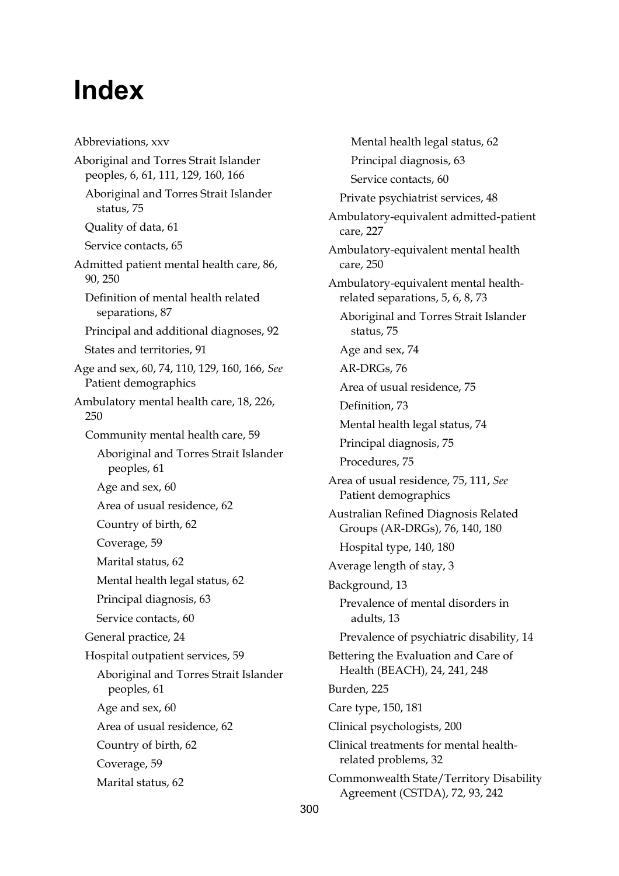## **Index**

Abbreviations, xxv Aboriginal and Torres Strait Islander peoples, 6, 61, 111, 129, 160, 166 Aboriginal and Torres Strait Islander status, 75 Quality of data, 61 Service contacts, 65 Admitted patient mental health care, 86, 90, 250 Definition of mental health related separations, 87 Principal and additional diagnoses, 92 States and territories, 91 Age and sex, 60, 74, 110, 129, 160, 166, *See* Patient demographics Ambulatory mental health care, 18, 226, 250 Community mental health care, 59 Aboriginal and Torres Strait Islander peoples, 61 Age and sex, 60 Area of usual residence, 62 Country of birth, 62 Coverage, 59 Marital status, 62 Mental health legal status, 62 Principal diagnosis, 63 Service contacts, 60 General practice, 24 Hospital outpatient services, 59 Aboriginal and Torres Strait Islander peoples, 61 Age and sex, 60 Area of usual residence, 62 Country of birth, 62 Coverage, 59 Marital status, 62

Mental health legal status, 62 Principal diagnosis, 63 Service contacts, 60 Private psychiatrist services, 48 Ambulatory-equivalent admitted-patient care, 227 Ambulatory-equivalent mental health care, 250 Ambulatory-equivalent mental healthrelated separations, 5, 6, 8, 73 Aboriginal and Torres Strait Islander status, 75 Age and sex, 74 AR-DRGs, 76 Area of usual residence, 75 Definition, 73 Mental health legal status, 74 Principal diagnosis, 75 Procedures, 75 Area of usual residence, 75, 111, *See* Patient demographics Australian Refined Diagnosis Related Groups (AR-DRGs), 76, 140, 180 Hospital type, 140, 180 Average length of stay, 3 Background, 13 Prevalence of mental disorders in adults, 13 Prevalence of psychiatric disability, 14 Bettering the Evaluation and Care of Health (BEACH), 24, 241, 248 Burden, 225 Care type, 150, 181 Clinical psychologists, 200 Clinical treatments for mental healthrelated problems, 32 Commonwealth State/Territory Disability Agreement (CSTDA), 72, 93, 242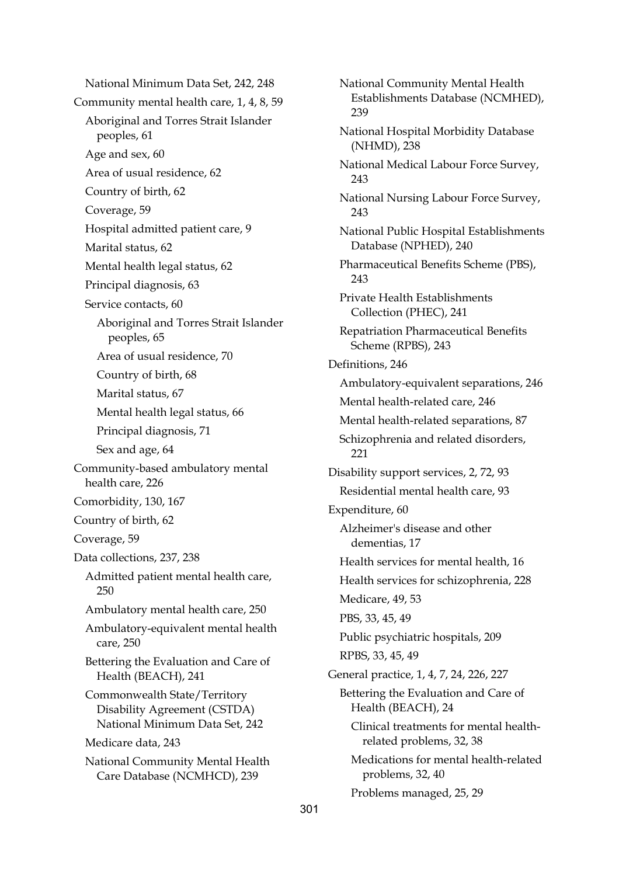National Minimum Data Set, 242, 248 Community mental health care, 1, 4, 8, 59 Aboriginal and Torres Strait Islander peoples, 61 Age and sex, 60 Area of usual residence, 62 Country of birth, 62 Coverage, 59 Hospital admitted patient care, 9 Marital status, 62 Mental health legal status, 62 Principal diagnosis, 63 Service contacts, 60 Aboriginal and Torres Strait Islander peoples, 65 Area of usual residence, 70 Country of birth, 68 Marital status, 67 Mental health legal status, 66 Principal diagnosis, 71 Sex and age, 64 Community-based ambulatory mental health care, 226 Comorbidity, 130, 167 Country of birth, 62 Coverage, 59 Data collections, 237, 238 Admitted patient mental health care, 250 Ambulatory mental health care, 250 Ambulatory-equivalent mental health care, 250 Bettering the Evaluation and Care of Health (BEACH), 241 Commonwealth State/Territory Disability Agreement (CSTDA) National Minimum Data Set, 242 Medicare data, 243 National Community Mental Health Care Database (NCMHCD), 239

National Community Mental Health Establishments Database (NCMHED), 239 National Hospital Morbidity Database (NHMD), 238 National Medical Labour Force Survey, 243 National Nursing Labour Force Survey, 243 National Public Hospital Establishments Database (NPHED), 240 Pharmaceutical Benefits Scheme (PBS),  $243$ Private Health Establishments Collection (PHEC), 241 Repatriation Pharmaceutical Benefits Scheme (RPBS), 243 Definitions, 246 Ambulatory-equivalent separations, 246 Mental health-related care, 246 Mental health-related separations, 87 Schizophrenia and related disorders, 221 Disability support services, 2, 72, 93 Residential mental health care, 93 Expenditure, 60 Alzheimer's disease and other dementias, 17 Health services for mental health, 16 Health services for schizophrenia, 228 Medicare, 49, 53 PBS, 33, 45, 49 Public psychiatric hospitals, 209 RPBS, 33, 45, 49 General practice, 1, 4, 7, 24, 226, 227 Bettering the Evaluation and Care of Health (BEACH), 24 Clinical treatments for mental healthrelated problems, 32, 38 Medications for mental health-related problems, 32, 40 Problems managed, 25, 29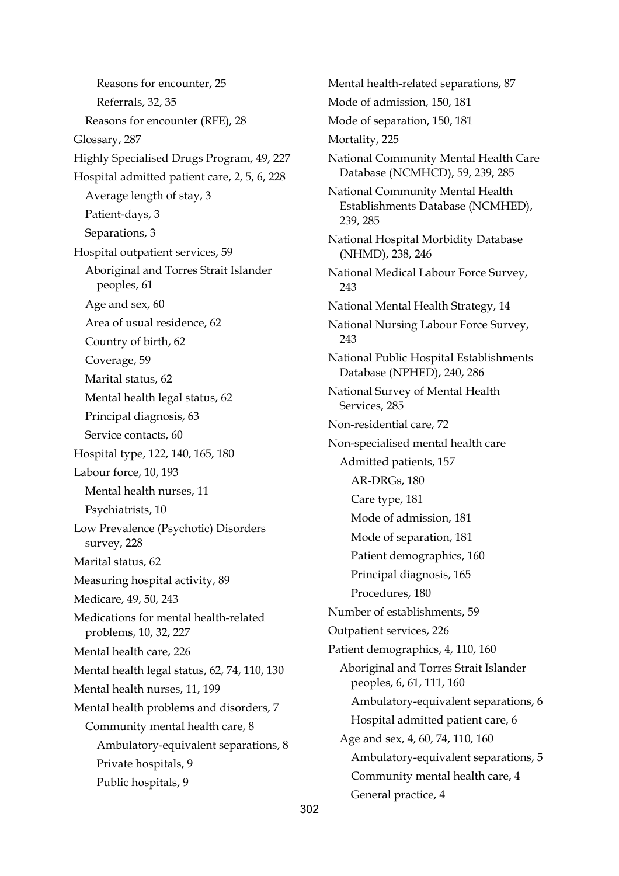Reasons for encounter, 25 Referrals, 32, 35 Reasons for encounter (RFE), 28 Glossary, 287 Highly Specialised Drugs Program, 49, 227 Hospital admitted patient care, 2, 5, 6, 228 Average length of stay, 3 Patient-days, 3 Separations, 3 Hospital outpatient services, 59 Aboriginal and Torres Strait Islander peoples, 61 Age and sex, 60 Area of usual residence, 62 Country of birth, 62 Coverage, 59 Marital status, 62 Mental health legal status, 62 Principal diagnosis, 63 Service contacts, 60 Hospital type, 122, 140, 165, 180 Labour force, 10, 193 Mental health nurses, 11 Psychiatrists, 10 Low Prevalence (Psychotic) Disorders survey, 228 Marital status, 62 Measuring hospital activity, 89 Medicare, 49, 50, 243 Medications for mental health-related problems, 10, 32, 227 Mental health care, 226 Mental health legal status, 62, 74, 110, 130 Mental health nurses, 11, 199 Mental health problems and disorders, 7 Community mental health care, 8 Ambulatory-equivalent separations, 8 Private hospitals, 9 Public hospitals, 9

Mental health-related separations, 87 Mode of admission, 150, 181 Mode of separation, 150, 181 Mortality, 225 National Community Mental Health Care Database (NCMHCD), 59, 239, 285 National Community Mental Health Establishments Database (NCMHED), 239, 285 National Hospital Morbidity Database (NHMD), 238, 246 National Medical Labour Force Survey, 243 National Mental Health Strategy, 14 National Nursing Labour Force Survey, 243 National Public Hospital Establishments Database (NPHED), 240, 286 National Survey of Mental Health Services, 285 Non-residential care, 72 Non-specialised mental health care Admitted patients, 157 AR-DRGs, 180 Care type, 181 Mode of admission, 181 Mode of separation, 181 Patient demographics, 160 Principal diagnosis, 165 Procedures, 180 Number of establishments, 59 Outpatient services, 226 Patient demographics, 4, 110, 160 Aboriginal and Torres Strait Islander peoples, 6, 61, 111, 160 Ambulatory-equivalent separations, 6 Hospital admitted patient care, 6 Age and sex, 4, 60, 74, 110, 160 Ambulatory-equivalent separations, 5 Community mental health care, 4 General practice, 4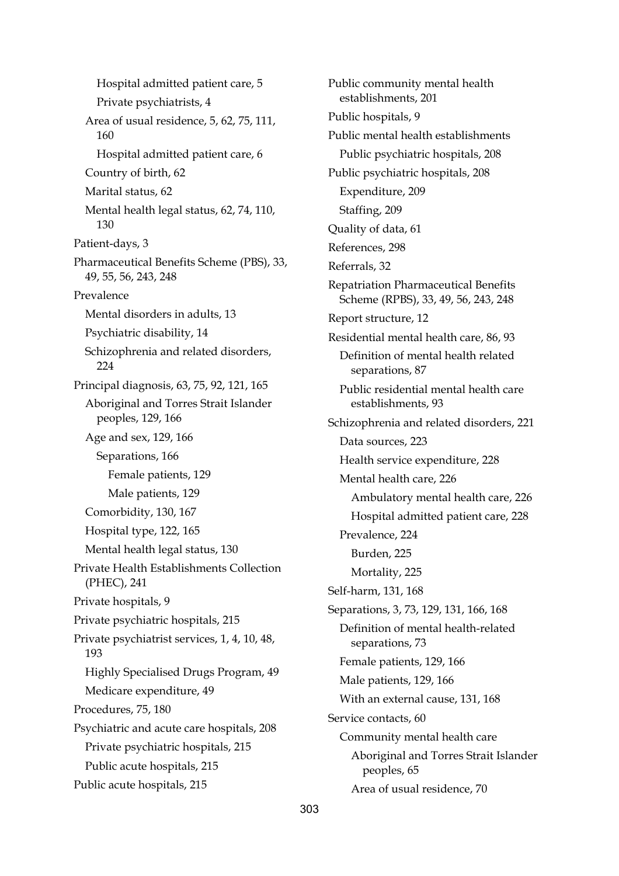Hospital admitted patient care, 5 Private psychiatrists, 4 Area of usual residence, 5, 62, 75, 111, 160 Hospital admitted patient care, 6 Country of birth, 62 Marital status, 62 Mental health legal status, 62, 74, 110, 130 Patient-days, 3 Pharmaceutical Benefits Scheme (PBS), 33, 49, 55, 56, 243, 248 Prevalence Mental disorders in adults, 13 Psychiatric disability, 14 Schizophrenia and related disorders, 224 Principal diagnosis, 63, 75, 92, 121, 165 Aboriginal and Torres Strait Islander peoples, 129, 166 Age and sex, 129, 166 Separations, 166 Female patients, 129 Male patients, 129 Comorbidity, 130, 167 Hospital type, 122, 165 Mental health legal status, 130 Private Health Establishments Collection (PHEC), 241 Private hospitals, 9 Private psychiatric hospitals, 215 Private psychiatrist services, 1, 4, 10, 48, 193 Highly Specialised Drugs Program, 49 Medicare expenditure, 49 Procedures, 75, 180 Psychiatric and acute care hospitals, 208 Private psychiatric hospitals, 215 Public acute hospitals, 215 Public acute hospitals, 215

Public community mental health establishments, 201 Public hospitals, 9 Public mental health establishments Public psychiatric hospitals, 208 Public psychiatric hospitals, 208 Expenditure, 209 Staffing, 209 Quality of data, 61 References, 298 Referrals, 32 Repatriation Pharmaceutical Benefits Scheme (RPBS), 33, 49, 56, 243, 248 Report structure, 12 Residential mental health care, 86, 93 Definition of mental health related separations, 87 Public residential mental health care establishments, 93 Schizophrenia and related disorders, 221 Data sources, 223 Health service expenditure, 228 Mental health care, 226 Ambulatory mental health care, 226 Hospital admitted patient care, 228 Prevalence, 224 Burden, 225 Mortality, 225 Self-harm, 131, 168 Separations, 3, 73, 129, 131, 166, 168 Definition of mental health-related separations, 73 Female patients, 129, 166 Male patients, 129, 166 With an external cause, 131, 168 Service contacts, 60 Community mental health care Aboriginal and Torres Strait Islander peoples, 65 Area of usual residence, 70